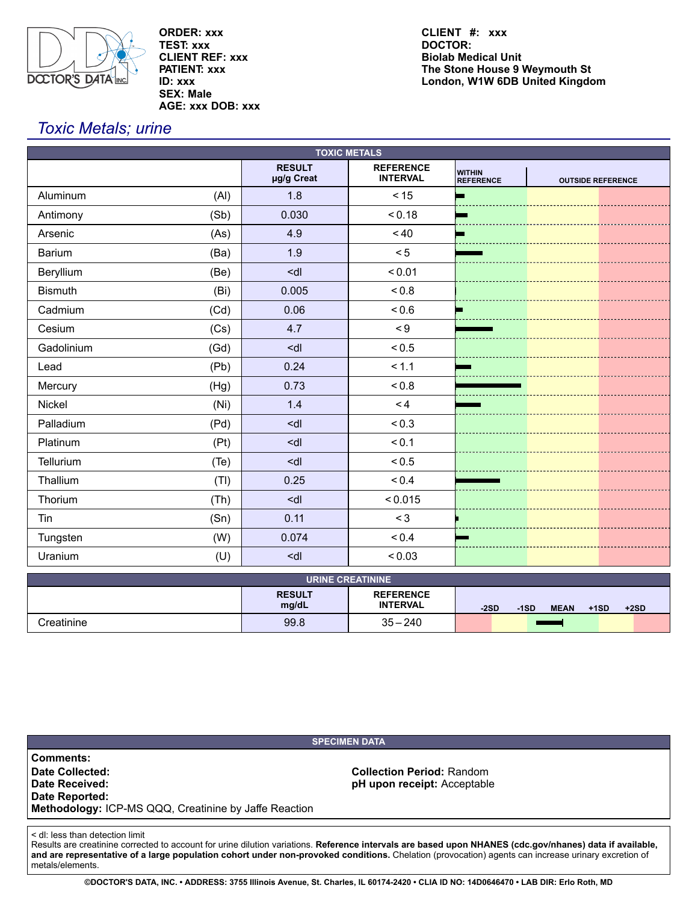

**ORDER: xxx TEST: xxx CLIENT REF: xxx PATIENT: xxx ID: xxx SEX: Male AGE: xxx DOB: xxx** **Biolab Medical Unit The Stone House 9 Weymouth St London, W1W 6DB United Kingdom CLIENT #: xxx DOCTOR:**

# *Toxic Metals; urine*

| <b>TOXIC METALS</b>     |                                                        |                                     |                                   |                          |  |
|-------------------------|--------------------------------------------------------|-------------------------------------|-----------------------------------|--------------------------|--|
|                         | <b>RESULT</b><br>µg/g Creat                            | <b>REFERENCE</b><br><b>INTERVAL</b> | <b>WITHIN</b><br><b>REFERENCE</b> | <b>OUTSIDE REFERENCE</b> |  |
| (AI)<br>Aluminum        | 1.8                                                    | < 15                                | Е                                 |                          |  |
| (Sb)<br>Antimony        | 0.030                                                  | < 0.18                              |                                   |                          |  |
| Arsenic<br>(As)         | 4.9                                                    | $~<$ 40                             |                                   |                          |  |
| <b>Barium</b><br>(Ba)   | 1.9                                                    | < 5                                 |                                   |                          |  |
| Beryllium<br>(Be)       | <dl< td=""><td>&lt; 0.01</td><td></td><td></td></dl<>  | < 0.01                              |                                   |                          |  |
| <b>Bismuth</b><br>(Bi)  | 0.005                                                  | < 0.8                               |                                   |                          |  |
| Cadmium<br>(Cd)         | 0.06                                                   | 0.6                                 |                                   |                          |  |
| (Cs)<br>Cesium          | 4.7                                                    | $\leq 9$                            |                                   |                          |  |
| Gadolinium<br>(Gd)      | <dl< td=""><td>&lt; 0.5</td><td></td><td></td></dl<>   | < 0.5                               |                                   |                          |  |
| (Pb)<br>Lead            | 0.24                                                   | < 1.1                               |                                   |                          |  |
| Mercury<br>(Hg)         | 0.73                                                   | 0.8                                 |                                   |                          |  |
| Nickel<br>(Ni)          | 1.4                                                    | < 4                                 |                                   |                          |  |
| Palladium<br>(Pd)       | <dl< td=""><td>&lt; 0.3</td><td></td><td></td></dl<>   | < 0.3                               |                                   |                          |  |
| Platinum<br>(Pt)        | <dl< td=""><td>&lt; 0.1</td><td></td><td></td></dl<>   | < 0.1                               |                                   |                          |  |
| Tellurium<br>(Te)       | <dl< td=""><td>&lt; 0.5</td><td></td><td></td></dl<>   | < 0.5                               |                                   |                          |  |
| Thallium<br>(TI)        | 0.25                                                   | ${}_{0.4}$                          |                                   |                          |  |
| Thorium<br>(Th)         | <dl< td=""><td>&lt; 0.015</td><td></td><td></td></dl<> | < 0.015                             |                                   |                          |  |
| (Sn)<br>Tin             | 0.11                                                   | < 3                                 |                                   |                          |  |
| Tungsten<br>(W)         | 0.074                                                  | < 0.4                               |                                   |                          |  |
| Uranium<br>(U)          | <dl< td=""><td>&lt; 0.03</td><td></td><td></td></dl<>  | < 0.03                              |                                   |                          |  |
| <b>URINE CREATININE</b> |                                                        |                                     |                                   |                          |  |

| <b>URINE CREATININE</b> |                        |                                     |                                                     |  |  |
|-------------------------|------------------------|-------------------------------------|-----------------------------------------------------|--|--|
|                         | <b>RESULT</b><br>mg/dL | <b>REFERENCE</b><br><b>INTERVAL</b> | $-2SD$<br><b>MEAN</b><br>$+2SD$<br>$+1SD$<br>$-1SD$ |  |  |
| Creatinine              | 99.8                   | $35 - 240$                          |                                                     |  |  |

| <b>SPECIMEN DATA</b>                                                                                                             |                                                                 |  |  |  |
|----------------------------------------------------------------------------------------------------------------------------------|-----------------------------------------------------------------|--|--|--|
| <b>Comments:</b><br>Date Collected:<br>Date Received:<br>Date Reported:<br>Methodology: ICP-MS QQQ, Creatinine by Jaffe Reaction | <b>Collection Period: Random</b><br>pH upon receipt: Acceptable |  |  |  |

< dl: less than detection limit

Results are creatinine corrected to account for urine dilution variations. **Reference intervals are based upon NHANES (cdc.gov/nhanes) data if available, and are representative of a large population cohort under non-provoked conditions.** Chelation (provocation) agents can increase urinary excretion of metals/elements.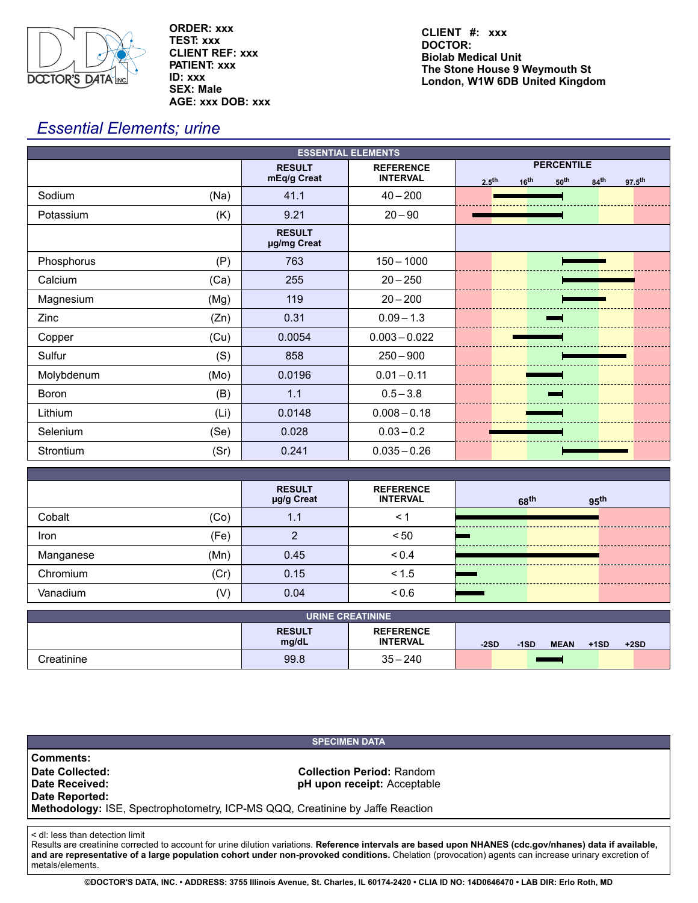

**ORDER: xxx TEST: xxx CLIENT REF: xxx PATIENT: xxx ID: xxx SEX: Male AGE: xxx DOB: xxx**

**Biolab Medical Unit The Stone House 9 Weymouth St London, W1W 6DB United Kingdom CLIENT #: xxx DOCTOR:**

# *Essential Elements; urine*

| <b>ESSENTIAL ELEMENTS</b> |                              |                                     |                                                                                                                   |  |
|---------------------------|------------------------------|-------------------------------------|-------------------------------------------------------------------------------------------------------------------|--|
|                           | <b>RESULT</b><br>mEq/g Creat | <b>REFERENCE</b><br><b>INTERVAL</b> | <b>PERCENTILE</b><br>2.5 <sup>th</sup><br>50 <sup>th</sup><br>84 <sup>th</sup><br>16 <sup>th</sup><br>$97.5^{th}$ |  |
| Sodium<br>(Na)            | 41.1                         | $40 - 200$                          |                                                                                                                   |  |
| (K)<br>Potassium          | 9.21                         | $20 - 90$                           |                                                                                                                   |  |
|                           | <b>RESULT</b><br>µg/mg Creat |                                     |                                                                                                                   |  |
| (P)<br>Phosphorus         | 763                          | $150 - 1000$                        |                                                                                                                   |  |
| (Ca)<br>Calcium           | 255                          | $20 - 250$                          |                                                                                                                   |  |
| Magnesium<br>(Mg)         | 119                          | $20 - 200$                          |                                                                                                                   |  |
| Zinc<br>(Zn)              | 0.31                         | $0.09 - 1.3$                        |                                                                                                                   |  |
| (Cu)<br>Copper            | 0.0054                       | $0.003 - 0.022$                     |                                                                                                                   |  |
| (S)<br>Sulfur             | 858                          | $250 - 900$                         |                                                                                                                   |  |
| Molybdenum<br>(Mo)        | 0.0196                       | $0.01 - 0.11$                       |                                                                                                                   |  |
| (B)<br><b>Boron</b>       | 1.1                          | $0.5 - 3.8$                         |                                                                                                                   |  |
| (Li)<br>Lithium           | 0.0148                       | $0.008 - 0.18$                      |                                                                                                                   |  |
| (Se)<br>Selenium          | 0.028                        | $0.03 - 0.2$                        |                                                                                                                   |  |
| (Sr)<br>Strontium         | 0.241                        | $0.035 - 0.26$                      |                                                                                                                   |  |

|           |      | <b>RESULT</b> | <b>REFERENCE</b> |                  |                  |  |
|-----------|------|---------------|------------------|------------------|------------------|--|
|           |      | µg/g Creat    | <b>INTERVAL</b>  | 68 <sup>th</sup> | 95 <sup>th</sup> |  |
| Cobalt    | (Co) | 1.1           | < 1              |                  |                  |  |
| Iron      | (Fe) | ◠             | < 50             |                  |                  |  |
| Manganese | (Mn) | 0.45          | < 0.4            |                  |                  |  |
| Chromium  | (Cr) | 0.15          | < 1.5            |                  |                  |  |
| Vanadium  | (V   | 0.04          | 0.6              |                  |                  |  |

| URINE CREATININE |                        |                                     |                                                     |  |  |
|------------------|------------------------|-------------------------------------|-----------------------------------------------------|--|--|
|                  | <b>RESULT</b><br>mg/dL | <b>REFERENCE</b><br><b>INTERVAL</b> | $-2SD$<br><b>MEAN</b><br>$+2SD$<br>$+1SD$<br>$-1SD$ |  |  |
| Creatinine       | 99.8                   | $35 - 240$                          |                                                     |  |  |

# **SPECIMEN DATA Comments: Date Collected:**<br> **Date Received:**<br> **Date Received:**<br> **Collection Period:**<br> **Collection Period:**<br> **Collection Period:**<br> **Collection Period:**<br> **Collection Period:**<br> **Collection Period: pH** upon receipt: Acceptable **Date Reported: Methodology:** ISE, Spectrophotometry, ICP-MS QQQ, Creatinine by Jaffe Reaction

< dl: less than detection limit

Results are creatinine corrected to account for urine dilution variations. **Reference intervals are based upon NHANES (cdc.gov/nhanes) data if available, and are representative of a large population cohort under non-provoked conditions.** Chelation (provocation) agents can increase urinary excretion of metals/elements.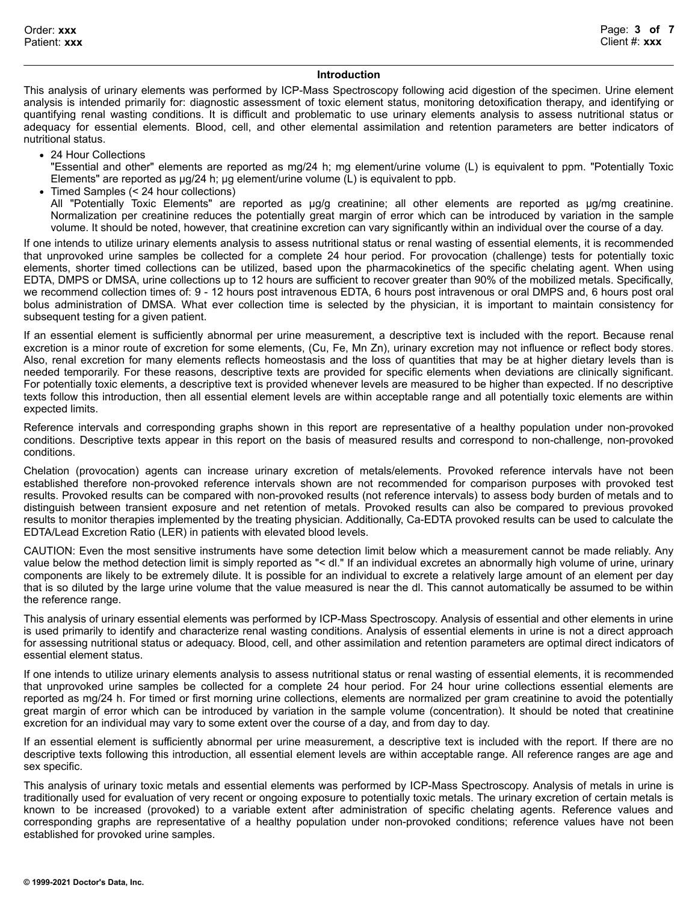# **Introduction**

This analysis of urinary elements was performed by ICP-Mass Spectroscopy following acid digestion of the specimen. Urine element analysis is intended primarily for: diagnostic assessment of toxic element status, monitoring detoxification therapy, and identifying or quantifying renal wasting conditions. It is difficult and problematic to use urinary elements analysis to assess nutritional status or adequacy for essential elements. Blood, cell, and other elemental assimilation and retention parameters are better indicators of nutritional status.

• 24 Hour Collections

"Essential and other" elements are reported as mg/24 h; mg element/urine volume (L) is equivalent to ppm. "Potentially Toxic Elements" are reported as µg/24 h; µg element/urine volume (L) is equivalent to ppb.

Timed Samples (< 24 hour collections)

All "Potentially Toxic Elements" are reported as ug/g creatinine; all other elements are reported as ug/mg creatinine. Normalization per creatinine reduces the potentially great margin of error which can be introduced by variation in the sample volume. It should be noted, however, that creatinine excretion can vary significantly within an individual over the course of a day.

If one intends to utilize urinary elements analysis to assess nutritional status or renal wasting of essential elements, it is recommended that unprovoked urine samples be collected for a complete 24 hour period. For provocation (challenge) tests for potentially toxic elements, shorter timed collections can be utilized, based upon the pharmacokinetics of the specific chelating agent. When using EDTA, DMPS or DMSA, urine collections up to 12 hours are sufficient to recover greater than 90% of the mobilized metals. Specifically, we recommend collection times of: 9 - 12 hours post intravenous EDTA, 6 hours post intravenous or oral DMPS and, 6 hours post oral bolus administration of DMSA. What ever collection time is selected by the physician, it is important to maintain consistency for subsequent testing for a given patient.

If an essential element is sufficiently abnormal per urine measurement, a descriptive text is included with the report. Because renal excretion is a minor route of excretion for some elements, (Cu, Fe, Mn Zn), urinary excretion may not influence or reflect body stores. Also, renal excretion for many elements reflects homeostasis and the loss of quantities that may be at higher dietary levels than is needed temporarily. For these reasons, descriptive texts are provided for specific elements when deviations are clinically significant. For potentially toxic elements, a descriptive text is provided whenever levels are measured to be higher than expected. If no descriptive texts follow this introduction, then all essential element levels are within acceptable range and all potentially toxic elements are within expected limits.

Reference intervals and corresponding graphs shown in this report are representative of a healthy population under non-provoked conditions. Descriptive texts appear in this report on the basis of measured results and correspond to non-challenge, non-provoked conditions.

Chelation (provocation) agents can increase urinary excretion of metals/elements. Provoked reference intervals have not been established therefore non-provoked reference intervals shown are not recommended for comparison purposes with provoked test results. Provoked results can be compared with non-provoked results (not reference intervals) to assess body burden of metals and to distinguish between transient exposure and net retention of metals. Provoked results can also be compared to previous provoked results to monitor therapies implemented by the treating physician. Additionally, Ca-EDTA provoked results can be used to calculate the EDTA/Lead Excretion Ratio (LER) in patients with elevated blood levels.

CAUTION: Even the most sensitive instruments have some detection limit below which a measurement cannot be made reliably. Any value below the method detection limit is simply reported as "< dl." If an individual excretes an abnormally high volume of urine, urinary components are likely to be extremely dilute. It is possible for an individual to excrete a relatively large amount of an element per day that is so diluted by the large urine volume that the value measured is near the dl. This cannot automatically be assumed to be within the reference range.

This analysis of urinary essential elements was performed by ICP-Mass Spectroscopy. Analysis of essential and other elements in urine is used primarily to identify and characterize renal wasting conditions. Analysis of essential elements in urine is not a direct approach for assessing nutritional status or adequacy. Blood, cell, and other assimilation and retention parameters are optimal direct indicators of essential element status.

If one intends to utilize urinary elements analysis to assess nutritional status or renal wasting of essential elements, it is recommended that unprovoked urine samples be collected for a complete 24 hour period. For 24 hour urine collections essential elements are reported as mg/24 h. For timed or first morning urine collections, elements are normalized per gram creatinine to avoid the potentially great margin of error which can be introduced by variation in the sample volume (concentration). It should be noted that creatinine excretion for an individual may vary to some extent over the course of a day, and from day to day.

If an essential element is sufficiently abnormal per urine measurement, a descriptive text is included with the report. If there are no descriptive texts following this introduction, all essential element levels are within acceptable range. All reference ranges are age and sex specific.

This analysis of urinary toxic metals and essential elements was performed by ICP-Mass Spectroscopy. Analysis of metals in urine is traditionally used for evaluation of very recent or ongoing exposure to potentially toxic metals. The urinary excretion of certain metals is known to be increased (provoked) to a variable extent after administration of specific chelating agents. Reference values and corresponding graphs are representative of a healthy population under non-provoked conditions; reference values have not been established for provoked urine samples.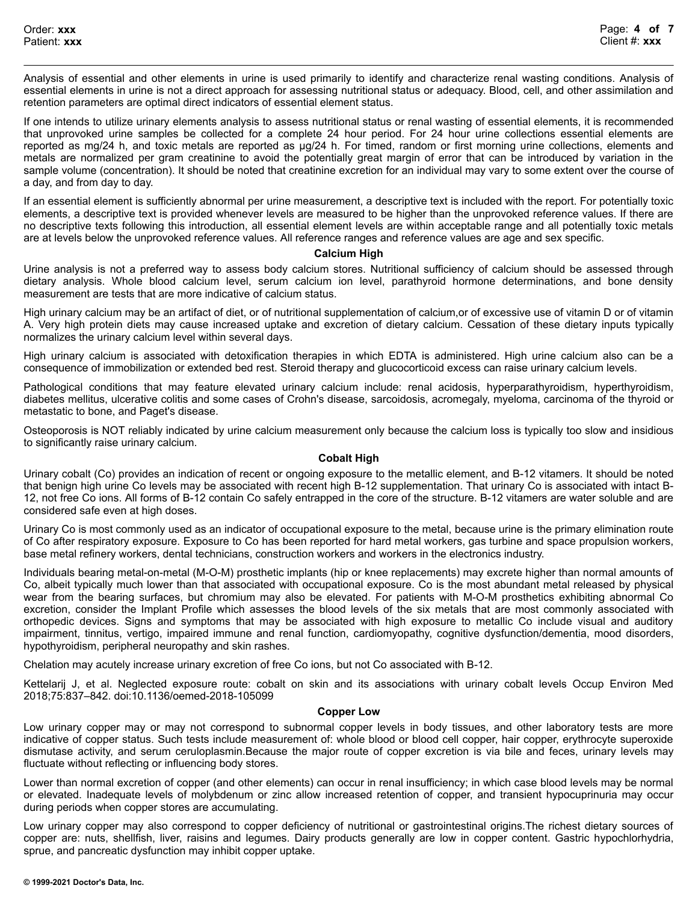Analysis of essential and other elements in urine is used primarily to identify and characterize renal wasting conditions. Analysis of essential elements in urine is not a direct approach for assessing nutritional status or adequacy. Blood, cell, and other assimilation and retention parameters are optimal direct indicators of essential element status.

If one intends to utilize urinary elements analysis to assess nutritional status or renal wasting of essential elements, it is recommended that unprovoked urine samples be collected for a complete 24 hour period. For 24 hour urine collections essential elements are reported as mg/24 h, and toxic metals are reported as µg/24 h. For timed, random or first morning urine collections, elements and metals are normalized per gram creatinine to avoid the potentially great margin of error that can be introduced by variation in the sample volume (concentration). It should be noted that creatinine excretion for an individual may vary to some extent over the course of a day, and from day to day.

If an essential element is sufficiently abnormal per urine measurement, a descriptive text is included with the report. For potentially toxic elements, a descriptive text is provided whenever levels are measured to be higher than the unprovoked reference values. If there are no descriptive texts following this introduction, all essential element levels are within acceptable range and all potentially toxic metals are at levels below the unprovoked reference values. All reference ranges and reference values are age and sex specific.

# **Calcium High**

Urine analysis is not a preferred way to assess body calcium stores. Nutritional sufficiency of calcium should be assessed through dietary analysis. Whole blood calcium level, serum calcium ion level, parathyroid hormone determinations, and bone density measurement are tests that are more indicative of calcium status.

High urinary calcium may be an artifact of diet, or of nutritional supplementation of calcium,or of excessive use of vitamin D or of vitamin A. Very high protein diets may cause increased uptake and excretion of dietary calcium. Cessation of these dietary inputs typically normalizes the urinary calcium level within several days.

High urinary calcium is associated with detoxification therapies in which EDTA is administered. High urine calcium also can be a consequence of immobilization or extended bed rest. Steroid therapy and glucocorticoid excess can raise urinary calcium levels.

Pathological conditions that may feature elevated urinary calcium include: renal acidosis, hyperparathyroidism, hyperthyroidism, diabetes mellitus, ulcerative colitis and some cases of Crohn's disease, sarcoidosis, acromegaly, myeloma, carcinoma of the thyroid or metastatic to bone, and Paget's disease.

Osteoporosis is NOT reliably indicated by urine calcium measurement only because the calcium loss is typically too slow and insidious to significantly raise urinary calcium.

# **Cobalt High**

Urinary cobalt (Co) provides an indication of recent or ongoing exposure to the metallic element, and B-12 vitamers. It should be noted that benign high urine Co levels may be associated with recent high B-12 supplementation. That urinary Co is associated with intact B-12, not free Co ions. All forms of B-12 contain Co safely entrapped in the core of the structure. B-12 vitamers are water soluble and are considered safe even at high doses.

Urinary Co is most commonly used as an indicator of occupational exposure to the metal, because urine is the primary elimination route of Co after respiratory exposure. Exposure to Co has been reported for hard metal workers, gas turbine and space propulsion workers, base metal refinery workers, dental technicians, construction workers and workers in the electronics industry.

Individuals bearing metal-on-metal (M-O-M) prosthetic implants (hip or knee replacements) may excrete higher than normal amounts of Co, albeit typically much lower than that associated with occupational exposure. Co is the most abundant metal released by physical wear from the bearing surfaces, but chromium may also be elevated. For patients with M-O-M prosthetics exhibiting abnormal Co excretion, consider the Implant Profile which assesses the blood levels of the six metals that are most commonly associated with orthopedic devices. Signs and symptoms that may be associated with high exposure to metallic Co include visual and auditory impairment, tinnitus, vertigo, impaired immune and renal function, cardiomyopathy, cognitive dysfunction/dementia, mood disorders, hypothyroidism, peripheral neuropathy and skin rashes.

Chelation may acutely increase urinary excretion of free Co ions, but not Co associated with B-12.

Kettelarij J, et al. Neglected exposure route: cobalt on skin and its associations with urinary cobalt levels Occup Environ Med 2018;75:837–842. doi:10.1136/oemed-2018-105099

# **Copper Low**

Low urinary copper may or may not correspond to subnormal copper levels in body tissues, and other laboratory tests are more indicative of copper status. Such tests include measurement of: whole blood or blood cell copper, hair copper, erythrocyte superoxide dismutase activity, and serum ceruloplasmin.Because the major route of copper excretion is via bile and feces, urinary levels may fluctuate without reflecting or influencing body stores.

Lower than normal excretion of copper (and other elements) can occur in renal insufficiency; in which case blood levels may be normal or elevated. Inadequate levels of molybdenum or zinc allow increased retention of copper, and transient hypocuprinuria may occur during periods when copper stores are accumulating.

Low urinary copper may also correspond to copper deficiency of nutritional or gastrointestinal origins.The richest dietary sources of copper are: nuts, shellfish, liver, raisins and legumes. Dairy products generally are low in copper content. Gastric hypochlorhydria, sprue, and pancreatic dysfunction may inhibit copper uptake.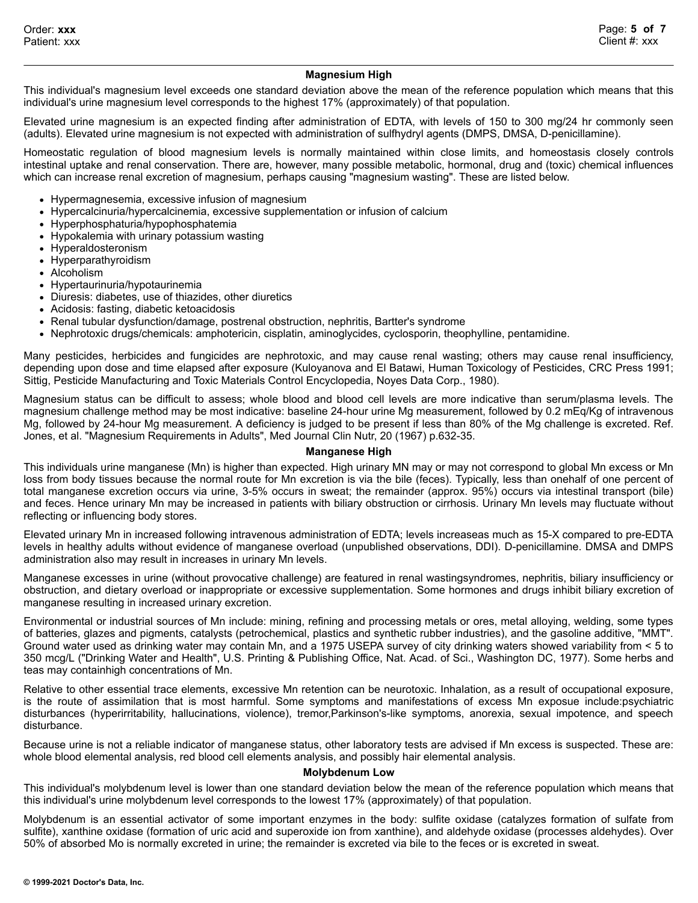# **Magnesium High**

This individual's magnesium level exceeds one standard deviation above the mean of the reference population which means that this individual's urine magnesium level corresponds to the highest 17% (approximately) of that population.

Elevated urine magnesium is an expected finding after administration of EDTA, with levels of 150 to 300 mg/24 hr commonly seen (adults). Elevated urine magnesium is not expected with administration of sulfhydryl agents (DMPS, DMSA, D-penicillamine).

Homeostatic regulation of blood magnesium levels is normally maintained within close limits, and homeostasis closely controls intestinal uptake and renal conservation. There are, however, many possible metabolic, hormonal, drug and (toxic) chemical influences which can increase renal excretion of magnesium, perhaps causing "magnesium wasting". These are listed below.

- Hypermagnesemia, excessive infusion of magnesium
- Hypercalcinuria/hypercalcinemia, excessive supplementation or infusion of calcium
- Hyperphosphaturia/hypophosphatemia
- Hypokalemia with urinary potassium wasting
- Hyperaldosteronism
- Hyperparathyroidism
- Alcoholism
- Hypertaurinuria/hypotaurinemia
- Diuresis: diabetes, use of thiazides, other diuretics
- Acidosis: fasting, diabetic ketoacidosis
- Renal tubular dysfunction/damage, postrenal obstruction, nephritis, Bartter's syndrome
- Nephrotoxic drugs/chemicals: amphotericin, cisplatin, aminoglycides, cyclosporin, theophylline, pentamidine.

Many pesticides, herbicides and fungicides are nephrotoxic, and may cause renal wasting; others may cause renal insufficiency, depending upon dose and time elapsed after exposure (Kuloyanova and El Batawi, Human Toxicology of Pesticides, CRC Press 1991; Sittig, Pesticide Manufacturing and Toxic Materials Control Encyclopedia, Noyes Data Corp., 1980).

Magnesium status can be difficult to assess; whole blood and blood cell levels are more indicative than serum/plasma levels. The magnesium challenge method may be most indicative: baseline 24-hour urine Mg measurement, followed by 0.2 mEq/Kg of intravenous Mg, followed by 24-hour Mg measurement. A deficiency is judged to be present if less than 80% of the Mg challenge is excreted. Ref. Jones, et al. "Magnesium Requirements in Adults", Med Journal Clin Nutr, 20 (1967) p.632-35.

#### **Manganese High**

This individuals urine manganese (Mn) is higher than expected. High urinary MN may or may not correspond to global Mn excess or Mn loss from body tissues because the normal route for Mn excretion is via the bile (feces). Typically, less than onehalf of one percent of total manganese excretion occurs via urine, 3-5% occurs in sweat; the remainder (approx. 95%) occurs via intestinal transport (bile) and feces. Hence urinary Mn may be increased in patients with biliary obstruction or cirrhosis. Urinary Mn levels may fluctuate without reflecting or influencing body stores.

Elevated urinary Mn in increased following intravenous administration of EDTA; levels increaseas much as 15-X compared to pre-EDTA levels in healthy adults without evidence of manganese overload (unpublished observations, DDI). D-penicillamine. DMSA and DMPS administration also may result in increases in urinary Mn levels.

Manganese excesses in urine (without provocative challenge) are featured in renal wastingsyndromes, nephritis, biliary insufficiency or obstruction, and dietary overload or inappropriate or excessive supplementation. Some hormones and drugs inhibit biliary excretion of manganese resulting in increased urinary excretion.

Environmental or industrial sources of Mn include: mining, refining and processing metals or ores, metal alloying, welding, some types of batteries, glazes and pigments, catalysts (petrochemical, plastics and synthetic rubber industries), and the gasoline additive, "MMT". Ground water used as drinking water may contain Mn, and a 1975 USEPA survey of city drinking waters showed variability from < 5 to 350 mcg/L ("Drinking Water and Health", U.S. Printing & Publishing Office, Nat. Acad. of Sci., Washington DC, 1977). Some herbs and teas may containhigh concentrations of Mn.

Relative to other essential trace elements, excessive Mn retention can be neurotoxic. Inhalation, as a result of occupational exposure, is the route of assimilation that is most harmful. Some symptoms and manifestations of excess Mn exposue include:psychiatric disturbances (hyperirritability, hallucinations, violence), tremor,Parkinson's-like symptoms, anorexia, sexual impotence, and speech disturbance.

Because urine is not a reliable indicator of manganese status, other laboratory tests are advised if Mn excess is suspected. These are: whole blood elemental analysis, red blood cell elements analysis, and possibly hair elemental analysis.

#### **Molybdenum Low**

This individual's molybdenum level is lower than one standard deviation below the mean of the reference population which means that this individual's urine molybdenum level corresponds to the lowest 17% (approximately) of that population.

Molybdenum is an essential activator of some important enzymes in the body: sulfite oxidase (catalyzes formation of sulfate from sulfite), xanthine oxidase (formation of uric acid and superoxide ion from xanthine), and aldehyde oxidase (processes aldehydes). Over 50% of absorbed Mo is normally excreted in urine; the remainder is excreted via bile to the feces or is excreted in sweat.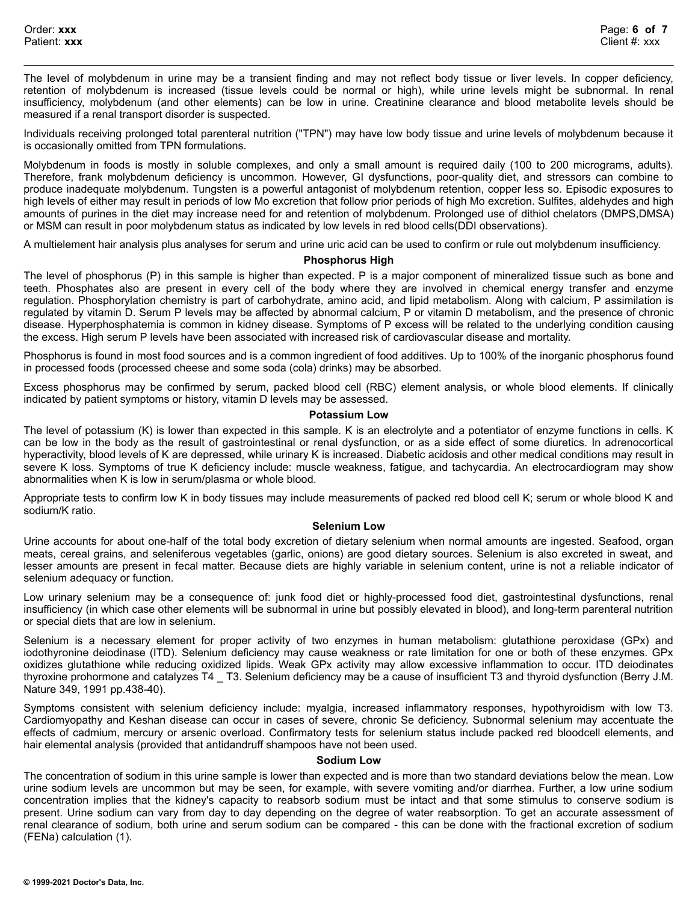The level of molybdenum in urine may be a transient finding and may not reflect body tissue or liver levels. In copper deficiency, retention of molybdenum is increased (tissue levels could be normal or high), while urine levels might be subnormal. In renal insufficiency, molybdenum (and other elements) can be low in urine. Creatinine clearance and blood metabolite levels should be measured if a renal transport disorder is suspected.

Individuals receiving prolonged total parenteral nutrition ("TPN") may have low body tissue and urine levels of molybdenum because it is occasionally omitted from TPN formulations.

Molybdenum in foods is mostly in soluble complexes, and only a small amount is required daily (100 to 200 micrograms, adults). Therefore, frank molybdenum deficiency is uncommon. However, GI dysfunctions, poor-quality diet, and stressors can combine to produce inadequate molybdenum. Tungsten is a powerful antagonist of molybdenum retention, copper less so. Episodic exposures to high levels of either may result in periods of low Mo excretion that follow prior periods of high Mo excretion. Sulfites, aldehydes and high amounts of purines in the diet may increase need for and retention of molybdenum. Prolonged use of dithiol chelators (DMPS,DMSA) or MSM can result in poor molybdenum status as indicated by low levels in red blood cells(DDI observations).

A multielement hair analysis plus analyses for serum and urine uric acid can be used to confirm or rule out molybdenum insufficiency.

# **Phosphorus High**

The level of phosphorus (P) in this sample is higher than expected. P is a major component of mineralized tissue such as bone and teeth. Phosphates also are present in every cell of the body where they are involved in chemical energy transfer and enzyme regulation. Phosphorylation chemistry is part of carbohydrate, amino acid, and lipid metabolism. Along with calcium, P assimilation is regulated by vitamin D. Serum P levels may be affected by abnormal calcium, P or vitamin D metabolism, and the presence of chronic disease. Hyperphosphatemia is common in kidney disease. Symptoms of P excess will be related to the underlying condition causing the excess. High serum P levels have been associated with increased risk of cardiovascular disease and mortality.

Phosphorus is found in most food sources and is a common ingredient of food additives. Up to 100% of the inorganic phosphorus found in processed foods (processed cheese and some soda (cola) drinks) may be absorbed.

Excess phosphorus may be confirmed by serum, packed blood cell (RBC) element analysis, or whole blood elements. If clinically indicated by patient symptoms or history, vitamin D levels may be assessed.

# **Potassium Low**

The level of potassium (K) is lower than expected in this sample. K is an electrolyte and a potentiator of enzyme functions in cells. K can be low in the body as the result of gastrointestinal or renal dysfunction, or as a side effect of some diuretics. In adrenocortical hyperactivity, blood levels of K are depressed, while urinary K is increased. Diabetic acidosis and other medical conditions may result in severe K loss. Symptoms of true K deficiency include: muscle weakness, fatigue, and tachycardia. An electrocardiogram may show abnormalities when K is low in serum/plasma or whole blood.

Appropriate tests to confirm low K in body tissues may include measurements of packed red blood cell K; serum or whole blood K and sodium/K ratio.

# **Selenium Low**

Urine accounts for about one-half of the total body excretion of dietary selenium when normal amounts are ingested. Seafood, organ meats, cereal grains, and seleniferous vegetables (garlic, onions) are good dietary sources. Selenium is also excreted in sweat, and lesser amounts are present in fecal matter. Because diets are highly variable in selenium content, urine is not a reliable indicator of selenium adequacy or function.

Low urinary selenium may be a consequence of: junk food diet or highly-processed food diet, gastrointestinal dysfunctions, renal insufficiency (in which case other elements will be subnormal in urine but possibly elevated in blood), and long-term parenteral nutrition or special diets that are low in selenium.

Selenium is a necessary element for proper activity of two enzymes in human metabolism: glutathione peroxidase (GPx) and iodothyronine deiodinase (ITD). Selenium deficiency may cause weakness or rate limitation for one or both of these enzymes. GPx oxidizes glutathione while reducing oxidized lipids. Weak GPx activity may allow excessive inflammation to occur. ITD deiodinates thyroxine prohormone and catalyzes T4 \_ T3. Selenium deficiency may be a cause of insufficient T3 and thyroid dysfunction (Berry J.M. Nature 349, 1991 pp.438-40).

Symptoms consistent with selenium deficiency include: myalgia, increased inflammatory responses, hypothyroidism with low T3. Cardiomyopathy and Keshan disease can occur in cases of severe, chronic Se deficiency. Subnormal selenium may accentuate the effects of cadmium, mercury or arsenic overload. Confirmatory tests for selenium status include packed red bloodcell elements, and hair elemental analysis (provided that antidandruff shampoos have not been used.

# **Sodium Low**

The concentration of sodium in this urine sample is lower than expected and is more than two standard deviations below the mean. Low urine sodium levels are uncommon but may be seen, for example, with severe vomiting and/or diarrhea. Further, a low urine sodium concentration implies that the kidney's capacity to reabsorb sodium must be intact and that some stimulus to conserve sodium is present. Urine sodium can vary from day to day depending on the degree of water reabsorption. To get an accurate assessment of renal clearance of sodium, both urine and serum sodium can be compared - this can be done with the fractional excretion of sodium (FENa) calculation (1).